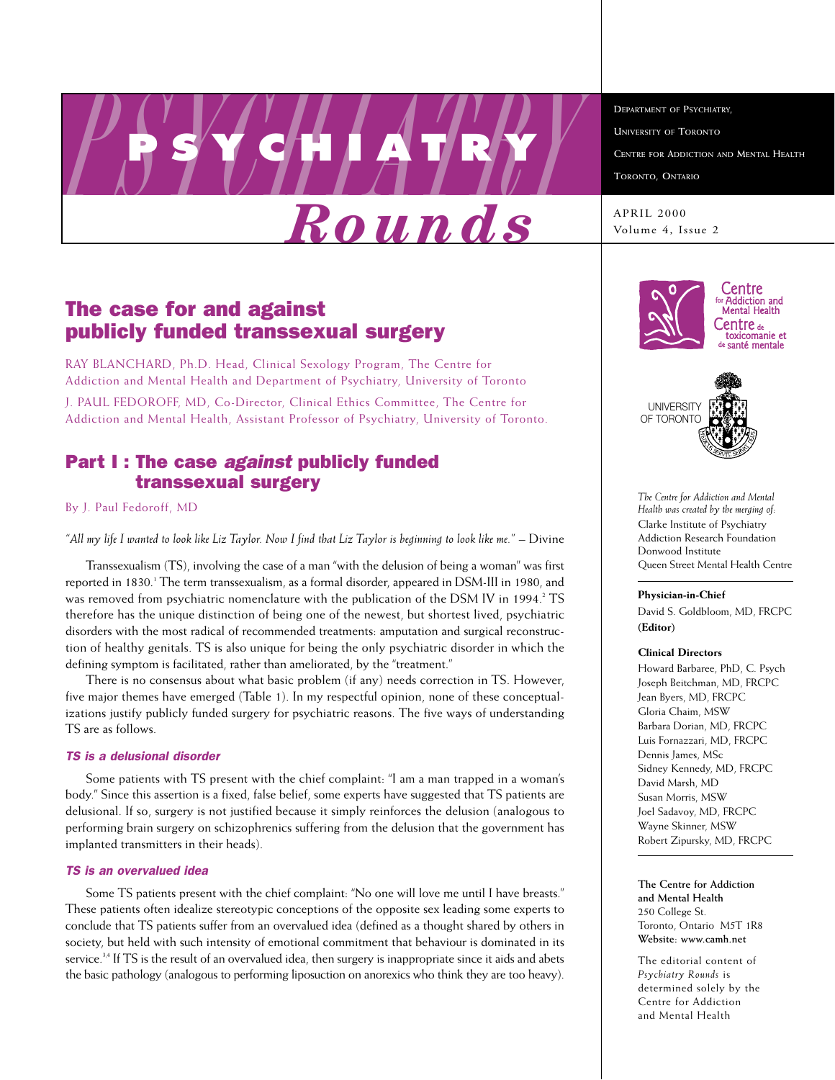# *PSYCHIATRY* **PSYCHIATRY** *Rounds*

# The case for and against publicly funded transsexual surgery

RAY BLANCHARD, Ph.D. Head, Clinical Sexology Program, The Centre for Addiction and Mental Health and Department of Psychiatry, University of Toronto

J. PAUL FEDOROFF, MD, Co-Director, Clinical Ethics Committee, The Centre for Addiction and Mental Health, Assistant Professor of Psychiatry, University of Toronto.

## Part I : The case *against* publicly funded transsexual surgery

## By J. Paul Fedoroff, MD

*"All my life I wanted to look like Liz Taylor. Now I find that Liz Taylor is beginning to look like me."* – Divine

Transsexualism (TS), involving the case of a man "with the delusion of being a woman" was first reported in 1830.<sup>1</sup> The term transsexualism, as a formal disorder, appeared in DSM-III in 1980, and was removed from psychiatric nomenclature with the publication of the DSM IV in 1994.<sup>2</sup> TS therefore has the unique distinction of being one of the newest, but shortest lived, psychiatric disorders with the most radical of recommended treatments: amputation and surgical reconstruction of healthy genitals. TS is also unique for being the only psychiatric disorder in which the defining symptom is facilitated, rather than ameliorated, by the "treatment."

There is no consensus about what basic problem (if any) needs correction in TS. However, five major themes have emerged (Table 1). In my respectful opinion, none of these conceptualizations justify publicly funded surgery for psychiatric reasons. The five ways of understanding TS are as follows.

## *TS is a delusional disorder*

Some patients with TS present with the chief complaint: "I am a man trapped in a woman's body." Since this assertion is a fixed, false belief, some experts have suggested that TS patients are delusional. If so, surgery is not justified because it simply reinforces the delusion (analogous to performing brain surgery on schizophrenics suffering from the delusion that the government has implanted transmitters in their heads).

## *TS is an overvalued idea*

Some TS patients present with the chief complaint: "No one will love me until I have breasts." These patients often idealize stereotypic conceptions of the opposite sex leading some experts to conclude that TS patients suffer from an overvalued idea (defined as a thought shared by others in society, but held with such intensity of emotional commitment that behaviour is dominated in its service.<sup>3,4</sup> If TS is the result of an overvalued idea, then surgery is inappropriate since it aids and abets the basic pathology (analogous to performing liposuction on anorexics who think they are too heavy). **DEPARTMENT OF PSYCHIATRY, UNIVERSITY OF TORONTO CENTRE FOR ADDICTION AND MENTAL HEALTH TORONTO, ONTARIO**

APRIL 2000 Volume 4, Issue 2







*The Centre for Addiction and Mental Health was created by the merging of:* Clarke Institute of Psychiatry Addiction Research Foundation Donwood Institute Queen Street Mental Health Centre

#### **Physician-in-Chief**

David S. Goldbloom, MD, FRCPC **(Editor)**

#### **Clinical Directors**

Howard Barbaree, PhD, C. Psych Joseph Beitchman, MD, FRCPC Jean Byers, MD, FRCPC Gloria Chaim, MSW Barbara Dorian, MD, FRCPC Luis Fornazzari, MD, FRCPC Dennis James, MSc Sidney Kennedy, MD, FRCPC David Marsh, MD Susan Morris, MSW Joel Sadavoy, MD, FRCPC Wayne Skinner, MSW Robert Zipursky, MD, FRCPC

**The Centre for Addiction and Mental Health** 250 College St. Toronto, Ontario M5T 1R8 **Website: www.camh.net**

The editorial content of *Psychiatry Rounds* is determined solely by the Centre for Addiction and Mental Health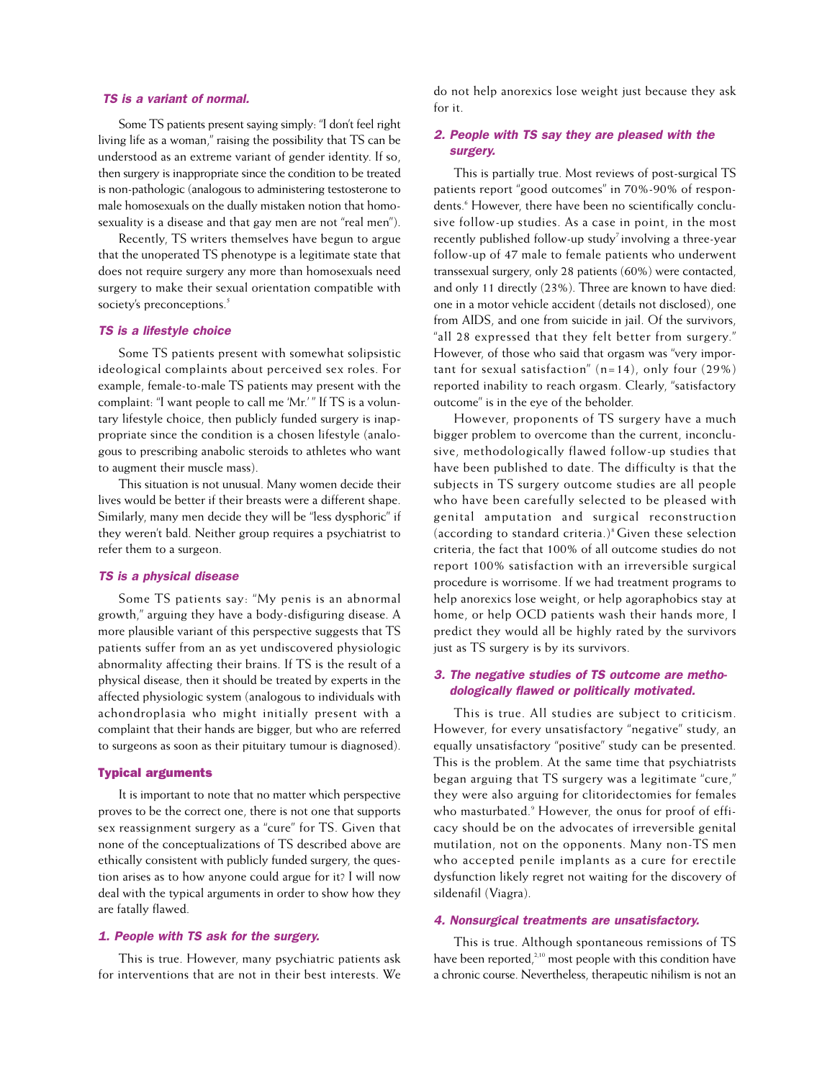#### *TS is a variant of normal.*

Some TS patients present saying simply: "I don't feel right living life as a woman," raising the possibility that TS can be understood as an extreme variant of gender identity. If so, then surgery is inappropriate since the condition to be treated is non-pathologic (analogous to administering testosterone to male homosexuals on the dually mistaken notion that homosexuality is a disease and that gay men are not "real men").

Recently, TS writers themselves have begun to argue that the unoperated TS phenotype is a legitimate state that does not require surgery any more than homosexuals need surgery to make their sexual orientation compatible with society's preconceptions.<sup>5</sup>

## *TS is a lifestyle choice*

Some TS patients present with somewhat solipsistic ideological complaints about perceived sex roles. For example, female-to-male TS patients may present with the complaint: "I want people to call me 'Mr.' " If TS is a voluntary lifestyle choice, then publicly funded surgery is inappropriate since the condition is a chosen lifestyle (analogous to prescribing anabolic steroids to athletes who want to augment their muscle mass).

This situation is not unusual. Many women decide their lives would be better if their breasts were a different shape. Similarly, many men decide they will be "less dysphoric" if they weren't bald. Neither group requires a psychiatrist to refer them to a surgeon.

#### *TS is a physical disease*

Some TS patients say: "My penis is an abnormal growth," arguing they have a body-disfiguring disease. A more plausible variant of this perspective suggests that TS patients suffer from an as yet undiscovered physiologic abnormality affecting their brains. If TS is the result of a physical disease, then it should be treated by experts in the affected physiologic system (analogous to individuals with achondroplasia who might initially present with a complaint that their hands are bigger, but who are referred to surgeons as soon as their pituitary tumour is diagnosed).

#### Typical arguments

It is important to note that no matter which perspective proves to be the correct one, there is not one that supports sex reassignment surgery as a "cure" for TS. Given that none of the conceptualizations of TS described above are ethically consistent with publicly funded surgery, the question arises as to how anyone could argue for it? I will now deal with the typical arguments in order to show how they are fatally flawed.

#### *1. People with TS ask for the surgery.*

This is true. However, many psychiatric patients ask for interventions that are not in their best interests. We do not help anorexics lose weight just because they ask for it.

## *2. People with TS say they are pleased with the surgery.*

This is partially true. Most reviews of post-surgical TS patients report "good outcomes" in 70%-90% of respondents.<sup>6</sup> However, there have been no scientifically conclusive follow-up studies. As a case in point, in the most recently published follow-up study<sup>7</sup> involving a three-year follow-up of 47 male to female patients who underwent transsexual surgery, only 28 patients (60%) were contacted, and only 11 directly (23%). Three are known to have died: one in a motor vehicle accident (details not disclosed), one from AIDS, and one from suicide in jail. Of the survivors, "all 28 expressed that they felt better from surgery." However, of those who said that orgasm was "very important for sexual satisfaction"  $(n=14)$ , only four (29%) reported inability to reach orgasm. Clearly, "satisfactory outcome" is in the eye of the beholder.

However, proponents of TS surgery have a much bigger problem to overcome than the current, inconclusive, methodologically flawed follow-up studies that have been published to date. The difficulty is that the subjects in TS surgery outcome studies are all people who have been carefully selected to be pleased with genital amputation and surgical reconstruction (according to standard criteria.)<sup>8</sup> Given these selection criteria, the fact that 100% of all outcome studies do not report 100% satisfaction with an irreversible surgical procedure is worrisome. If we had treatment programs to help anorexics lose weight, or help agoraphobics stay at home, or help OCD patients wash their hands more, I predict they would all be highly rated by the survivors just as TS surgery is by its survivors.

## *3. The negative studies of TS outcome are methodologically flawed or politically motivated.*

This is true. All studies are subject to criticism. However, for every unsatisfactory "negative" study, an equally unsatisfactory "positive" study can be presented. This is the problem. At the same time that psychiatrists began arguing that TS surgery was a legitimate "cure," they were also arguing for clitoridectomies for females who masturbated.<sup>9</sup> However, the onus for proof of efficacy should be on the advocates of irreversible genital mutilation, not on the opponents. Many non-TS men who accepted penile implants as a cure for erectile dysfunction likely regret not waiting for the discovery of sildenafil (Viagra).

## *4. Nonsurgical treatments are unsatisfactory.*

This is true. Although spontaneous remissions of TS have been reported,<sup>2,10</sup> most people with this condition have a chronic course. Nevertheless, therapeutic nihilism is not an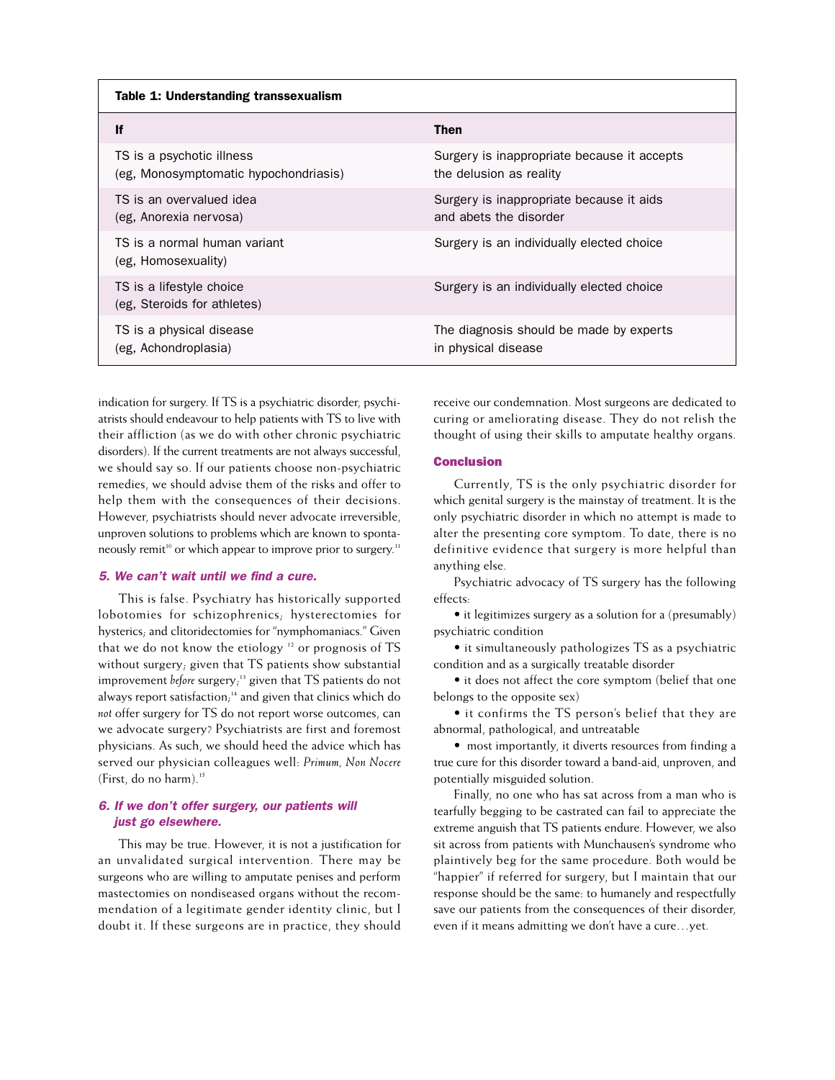#### Table 1: Understanding transsexualism

| lf                                                                 | <b>Then</b>                                                            |
|--------------------------------------------------------------------|------------------------------------------------------------------------|
| TS is a psychotic illness<br>(eg. Monosymptomatic hypochondriasis) | Surgery is inappropriate because it accepts<br>the delusion as reality |
| TS is an overvalued idea<br>(eg. Anorexia nervosa)                 | Surgery is inappropriate because it aids<br>and abets the disorder     |
| TS is a normal human variant<br>(eg, Homosexuality)                | Surgery is an individually elected choice                              |
| TS is a lifestyle choice<br>(eg. Steroids for athletes)            | Surgery is an individually elected choice                              |
| TS is a physical disease<br>(eg. Achondroplasia)                   | The diagnosis should be made by experts<br>in physical disease         |

indication for surgery. If TS is a psychiatric disorder, psychiatrists should endeavour to help patients with TS to live with their affliction (as we do with other chronic psychiatric disorders). If the current treatments are not always successful, we should say so. If our patients choose non-psychiatric remedies, we should advise them of the risks and offer to help them with the consequences of their decisions. However, psychiatrists should never advocate irreversible, unproven solutions to problems which are known to spontaneously remit<sup>10</sup> or which appear to improve prior to surgery.<sup>11</sup>

#### *5. We can't wait until we find a cure.*

This is false. Psychiatry has historically supported lobotomies for schizophrenics; hysterectomies for hysterics; and clitoridectomies for "nymphomaniacs." Given that we do not know the etiology 12 or prognosis of TS without surgery; given that TS patients show substantial improvement *before* surgery;<sup>13</sup> given that TS patients do not always report satisfaction;<sup>14</sup> and given that clinics which do *not* offer surgery for TS do not report worse outcomes, can we advocate surgery? Psychiatrists are first and foremost physicians. As such, we should heed the advice which has served our physician colleagues well: *Primum, Non Nocere* (First, do no harm).<sup>15</sup>

## *6. If we don't offer surgery, our patients will just go elsewhere.*

This may be true. However, it is not a justification for an unvalidated surgical intervention. There may be surgeons who are willing to amputate penises and perform mastectomies on nondiseased organs without the recommendation of a legitimate gender identity clinic, but I doubt it. If these surgeons are in practice, they should

receive our condemnation. Most surgeons are dedicated to curing or ameliorating disease. They do not relish the thought of using their skills to amputate healthy organs.

#### **Conclusion**

Currently, TS is the only psychiatric disorder for which genital surgery is the mainstay of treatment. It is the only psychiatric disorder in which no attempt is made to alter the presenting core symptom. To date, there is no definitive evidence that surgery is more helpful than anything else.

Psychiatric advocacy of TS surgery has the following effects:

• it legitimizes surgery as a solution for a (presumably) psychiatric condition

• it simultaneously pathologizes TS as a psychiatric condition and as a surgically treatable disorder

• it does not affect the core symptom (belief that one belongs to the opposite sex)

• it confirms the TS person's belief that they are abnormal, pathological, and untreatable

• most importantly, it diverts resources from finding a true cure for this disorder toward a band-aid, unproven, and potentially misguided solution.

Finally, no one who has sat across from a man who is tearfully begging to be castrated can fail to appreciate the extreme anguish that TS patients endure. However, we also sit across from patients with Munchausen's syndrome who plaintively beg for the same procedure. Both would be "happier" if referred for surgery, but I maintain that our response should be the same: to humanely and respectfully save our patients from the consequences of their disorder, even if it means admitting we don't have a cure…yet.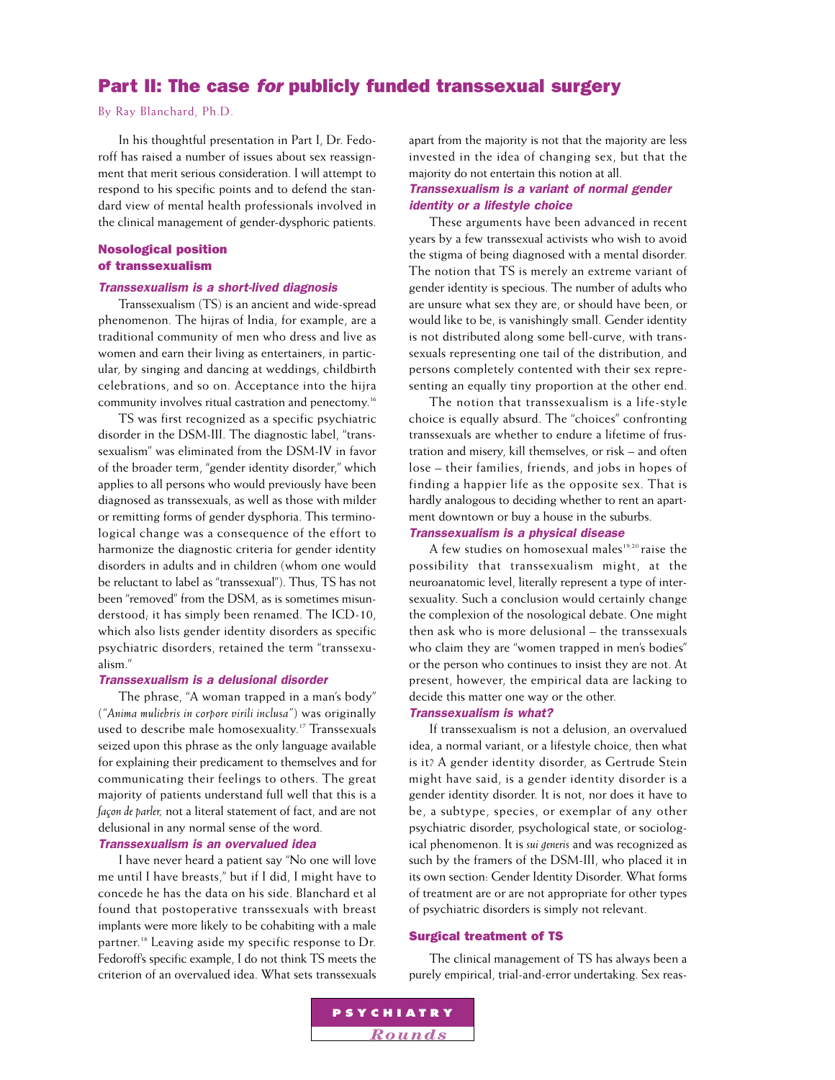## Part II: The case *for* publicly funded transsexual surgery

## By Ray Blanchard, Ph.D.

In his thoughtful presentation in Part I, Dr. Fedoroff has raised a number of issues about sex reassignment that merit serious consideration. I will attempt to respond to his specific points and to defend the standard view of mental health professionals involved in the clinical management of gender-dysphoric patients.

## Nosological position of transsexualism

#### *Transsexualism is a short-lived diagnosis*

Transsexualism (TS) is an ancient and wide-spread phenomenon. The hijras of India, for example, are a traditional community of men who dress and live as women and earn their living as entertainers, in particular, by singing and dancing at weddings, childbirth celebrations, and so on. Acceptance into the hijra community involves ritual castration and penectomy.16

TS was first recognized as a specific psychiatric disorder in the DSM-III. The diagnostic label, "transsexualism" was eliminated from the DSM-IV in favor of the broader term, "gender identity disorder," which applies to all persons who would previously have been diagnosed as transsexuals, as well as those with milder or remitting forms of gender dysphoria. This terminological change was a consequence of the effort to harmonize the diagnostic criteria for gender identity disorders in adults and in children (whom one would be reluctant to label as "transsexual"). Thus, TS has not been "removed" from the DSM, as is sometimes misunderstood; it has simply been renamed. The ICD-10, which also lists gender identity disorders as specific psychiatric disorders, retained the term "transsexualism."

#### *Transsexualism is a delusional disorder*

The phrase, "A woman trapped in a man's body" (*"Anima muliebris in corpore virili inclusa"*) was originally used to describe male homosexuality.17 Transsexuals seized upon this phrase as the only language available for explaining their predicament to themselves and for communicating their feelings to others. The great majority of patients understand full well that this is a *façon de parler,* not a literal statement of fact, and are not delusional in any normal sense of the word.

#### *Transsexualism is an overvalued idea*

I have never heard a patient say "No one will love me until I have breasts," but if I did, I might have to concede he has the data on his side. Blanchard et al found that postoperative transsexuals with breast implants were more likely to be cohabiting with a male partner.<sup>18</sup> Leaving aside my specific response to Dr. Fedoroff's specific example, I do not think TS meets the criterion of an overvalued idea. What sets transsexuals apart from the majority is not that the majority are less invested in the idea of changing sex, but that the majority do not entertain this notion at all.

## *Transsexualism is a variant of normal gender identity or a lifestyle choice*

These arguments have been advanced in recent years by a few transsexual activists who wish to avoid the stigma of being diagnosed with a mental disorder. The notion that TS is merely an extreme variant of gender identity is specious. The number of adults who are unsure what sex they are, or should have been, or would like to be, is vanishingly small. Gender identity is not distributed along some bell-curve, with transsexuals representing one tail of the distribution, and persons completely contented with their sex representing an equally tiny proportion at the other end.

The notion that transsexualism is a life-style choice is equally absurd. The "choices" confronting transsexuals are whether to endure a lifetime of frustration and misery, kill themselves, or risk – and often lose – their families, friends, and jobs in hopes of finding a happier life as the opposite sex. That is hardly analogous to deciding whether to rent an apartment downtown or buy a house in the suburbs.

## *Transsexualism is a physical disease*

A few studies on homosexual males<sup>19,20</sup> raise the possibility that transsexualism might, at the neuroanatomic level, literally represent a type of intersexuality. Such a conclusion would certainly change the complexion of the nosological debate. One might then ask who is more delusional – the transsexuals who claim they are "women trapped in men's bodies" or the person who continues to insist they are not. At present, however, the empirical data are lacking to decide this matter one way or the other.

#### *Transsexualism is what?*

If transsexualism is not a delusion, an overvalued idea, a normal variant, or a lifestyle choice, then what is it? A gender identity disorder, as Gertrude Stein might have said, is a gender identity disorder is a gender identity disorder. It is not, nor does it have to be, a subtype, species, or exemplar of any other psychiatric disorder, psychological state, or sociological phenomenon. It is *sui generis* and was recognized as such by the framers of the DSM-III, who placed it in its own section: Gender Identity Disorder. What forms of treatment are or are not appropriate for other types of psychiatric disorders is simply not relevant.

## Surgical treatment of TS

The clinical management of TS has always been a purely empirical, trial-and-error undertaking. Sex reas-

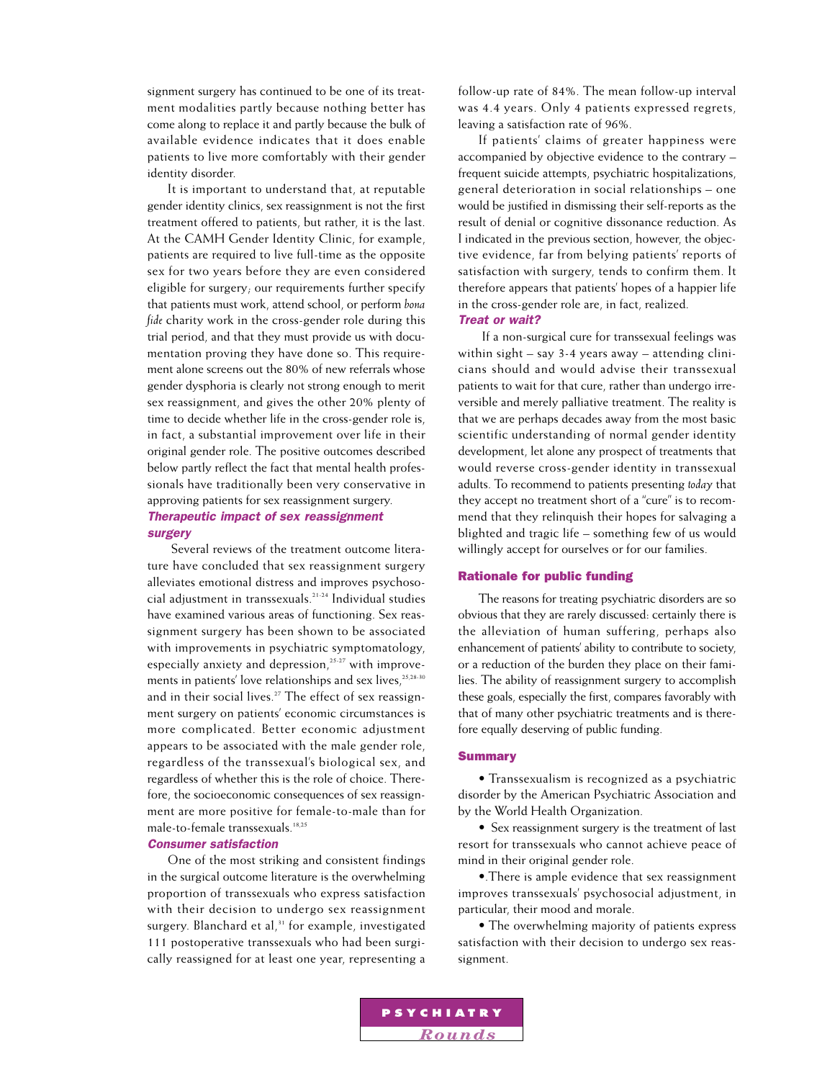signment surgery has continued to be one of its treatment modalities partly because nothing better has come along to replace it and partly because the bulk of available evidence indicates that it does enable patients to live more comfortably with their gender identity disorder.

It is important to understand that, at reputable gender identity clinics, sex reassignment is not the first treatment offered to patients, but rather, it is the last. At the CAMH Gender Identity Clinic, for example, patients are required to live full-time as the opposite sex for two years before they are even considered eligible for surgery; our requirements further specify that patients must work, attend school, or perform *bona fide* charity work in the cross-gender role during this trial period, and that they must provide us with documentation proving they have done so. This requirement alone screens out the 80% of new referrals whose gender dysphoria is clearly not strong enough to merit sex reassignment, and gives the other 20% plenty of time to decide whether life in the cross-gender role is, in fact, a substantial improvement over life in their original gender role. The positive outcomes described below partly reflect the fact that mental health professionals have traditionally been very conservative in approving patients for sex reassignment surgery. *Therapeutic impact of sex reassignment surgery*

Several reviews of the treatment outcome literature have concluded that sex reassignment surgery alleviates emotional distress and improves psychosocial adjustment in transsexuals.21-24 Individual studies have examined various areas of functioning. Sex reassignment surgery has been shown to be associated with improvements in psychiatric symptomatology, especially anxiety and depression, $25-27$  with improvements in patients' love relationships and sex lives,<sup>25,28-30</sup> and in their social lives.<sup>27</sup> The effect of sex reassignment surgery on patients' economic circumstances is more complicated. Better economic adjustment appears to be associated with the male gender role, regardless of the transsexual's biological sex, and regardless of whether this is the role of choice. Therefore, the socioeconomic consequences of sex reassignment are more positive for female-to-male than for male-to-female transsexuals.<sup>18,25</sup>

#### *Consumer satisfaction*

One of the most striking and consistent findings in the surgical outcome literature is the overwhelming proportion of transsexuals who express satisfaction with their decision to undergo sex reassignment surgery. Blanchard et al,<sup>31</sup> for example, investigated 111 postoperative transsexuals who had been surgically reassigned for at least one year, representing a

follow-up rate of 84%. The mean follow-up interval was 4.4 years. Only 4 patients expressed regrets, leaving a satisfaction rate of 96%.

If patients' claims of greater happiness were accompanied by objective evidence to the contrary – frequent suicide attempts, psychiatric hospitalizations, general deterioration in social relationships – one would be justified in dismissing their self-reports as the result of denial or cognitive dissonance reduction. As I indicated in the previous section, however, the objective evidence, far from belying patients' reports of satisfaction with surgery, tends to confirm them. It therefore appears that patients' hopes of a happier life in the cross-gender role are, in fact, realized.

#### *Treat or wait?*

If a non-surgical cure for transsexual feelings was within sight – say 3-4 years away – attending clinicians should and would advise their transsexual patients to wait for that cure, rather than undergo irreversible and merely palliative treatment. The reality is that we are perhaps decades away from the most basic scientific understanding of normal gender identity development, let alone any prospect of treatments that would reverse cross-gender identity in transsexual adults. To recommend to patients presenting *today* that they accept no treatment short of a "cure" is to recommend that they relinquish their hopes for salvaging a blighted and tragic life – something few of us would willingly accept for ourselves or for our families.

#### Rationale for public funding

The reasons for treating psychiatric disorders are so obvious that they are rarely discussed: certainly there is the alleviation of human suffering, perhaps also enhancement of patients' ability to contribute to society, or a reduction of the burden they place on their families. The ability of reassignment surgery to accomplish these goals, especially the first, compares favorably with that of many other psychiatric treatments and is therefore equally deserving of public funding.

## **Summary**

• Transsexualism is recognized as a psychiatric disorder by the American Psychiatric Association and by the World Health Organization.

• Sex reassignment surgery is the treatment of last resort for transsexuals who cannot achieve peace of mind in their original gender role.

•.There is ample evidence that sex reassignment improves transsexuals' psychosocial adjustment, in particular, their mood and morale.

• The overwhelming majority of patients express satisfaction with their decision to undergo sex reassignment.